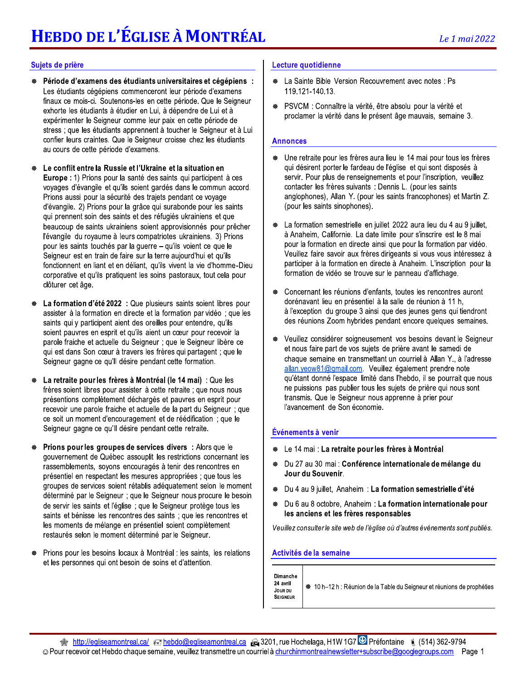# **HEBDO DE L'ÉGLISE À MONTRÉAL**

### Sujets de prière

- Période d'examens des étudiants universitaires et cégépiens : Les étudiants cégépiens commenceront leur période d'examens finaux ce mois-ci. Soutenons-les en cette période. Que le Seigneur exhorte les étudiants à étudier en Lui, à dépendre de Lui et à expérimenter le Seigneur comme leur paix en cette période de stress ; que les étudiants apprennent à toucher le Seigneur et à Lui confier leurs craintes. Que le Seigneur croisse chez les étudiants au cours de cette période d'examens.
- Le conflit entre la Russie et l'Ukraine et la situation en Europe : 1) Prions pour la santé des saints qui participent à ces voyages d'évangile et qu'ils soient gardés dans le commun accord. Prions aussi pour la sécurité des trajets pendant ce voyage d'évangile. 2) Prions pour la grâce qui surabonde pour les saints qui prennent soin des saints et des réfugiés ukrainiens et que beaucoup de saints ukrainiens soient approvisionnés pour prêcher l'évangile du royaume à leurs compatriotes ukrainiens. 3) Prions pour les saints touchés par la guerre - qu'ils voient ce que le Seigneur est en train de faire sur la terre aujourd'hui et qu'ils fonctionnent en liant et en déliant, qu'ils vivent la vie d'homme-Dieu corporative et qu'ils pratiquent les soins pastoraux, tout cela pour clôturer cet âge.
- La formation d'été 2022 : Que plusieurs saints soient libres pour ₩ assister à la formation en directe et la formation par vidéo; que les saints qui y participent aient des oreilles pour entendre, qu'ils soient pauvres en esprit et qu'ils aient un cœur pour recevoir la parole fraiche et actuelle du Seigneur ; que le Seigneur libère ce qui est dans Son cœur à travers les frères qui partagent ; que le Seigneur gagne ce qu'il désire pendant cette formation.
- La retraite pour les frères à Montréal (le 14 mai) : Que les frères soient libres pour assister à cette retraite ; que nous nous présentions complètement déchargés et pauvres en esprit pour recevoir une parole fraiche et actuelle de la part du Seigneur; que ce soit un moment d'encouragement et de réédification ; que le Seigneur gagne ce qu'il désire pendant cette retraite.
- Prions pour les groupes de services divers : Alors que le gouvernement de Québec assouplit les restrictions concernant les rassemblements, soyons encouragés à tenir des rencontres en présentiel en respectant les mesures appropriées ; que tous les groupes de services soient rétablis adéquatement selon le moment déterminé par le Seigneur ; que le Seigneur nous procure le besoin de servir les saints et l'église ; que le Seigneur protège tous les saints et bénisse les rencontres des saints ; que les rencontres et les moments de mélange en présentiel soient complètement restaurés selon le moment déterminé par le Seigneur.
- Prions pour les besoins locaux à Montréal : les saints, les relations et les personnes qui ont besoin de soins et d'attention.

### Lecture quotidienne

- La Sainte Bible Version Recouvrement avec notes : Ps ₩ 119.121-140.13.
- PSVCM : Connaître la vérité, être absolu pour la vérité et proclamer la vérité dans le présent âge mauvais, semaine 3.

### **Annonces**

- Une retraite pour les frères aura lieu le 14 mai pour tous les frères qui désirent porter le fardeau de l'église et qui sont disposés à servir. Pour plus de renseignements et pour l'inscription, veuillez contacter les frères suivants : Dennis L. (pour les saints anglophones), Allan Y. (pour les saints francophones) et Martin Z. (pour les saints sinophones).
- La formation semestrielle en juillet 2022 aura lieu du 4 au 9 juillet, à Anaheim, Californie. La date limite pour s'inscrire est le 8 mai pour la formation en directe ainsi que pour la formation par vidéo. Veuillez faire savoir aux frères dirigeants si vous vous intéressez à participer à la formation en directe à Anaheim. L'inscription pour la formation de vidéo se trouve sur le panneau d'affichage.
- Concernant les réunions d'enfants, toutes les rencontres auront dorénavant lieu en présentiel à la salle de réunion à 11 h, à l'exception du groupe 3 ainsi que des jeunes gens qui tiendront des réunions Zoom hybrides pendant encore quelques semaines.
- Veuillez considérer soigneusement vos besoins devant le Seigneur et nous faire part de vos sujets de prière avant le samedi de chaque semaine en transmettant un courriel à Allan Y., à l'adresse allan.yeow81@gmail.com. Veuillez également prendre note qu'étant donné l'espace limité dans l'hebdo, il se pourrait que nous ne puissions pas publier tous les sujets de prière qui nous sont transmis. Que le Seigneur nous apprenne à prier pour l'avancement de Son économie.

### Événements à venir

- ⊕ Le 14 mai : La retraite pour les frères à Montréal
- Du 27 au 30 mai : Conférence internationale de mélange du Jour du Souvenir.
- Du 4 au 9 juillet, Anaheim : La formation semestrielle d'été
- Du 6 au 8 octobre, Anaheim : La formation internationale pour les anciens et les frères responsables

Veuillez consulter le site web de l'église où d'autres événements sont publiés.

### Activités de la semaine

Dimanche 24 avril

※ 10 h-12 h : Réunion de la Table du Seigneur et réunions de prophéties **JOUR DU SEIGNEUR**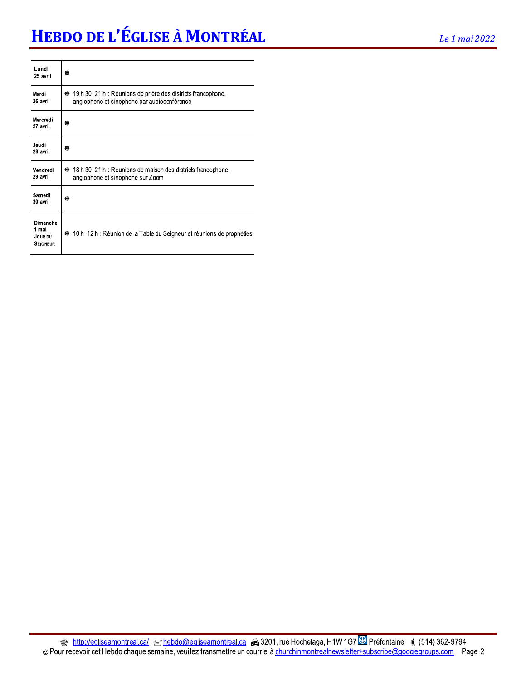# HEBDO DE L'ÉGLISE À MONTRÉAL

| Lundi<br>25 avril                               | 齤                                                                                                                |
|-------------------------------------------------|------------------------------------------------------------------------------------------------------------------|
| Mardi<br>26 avril                               | 19 h 30–21 h : Réunions de prière des districts francophone,<br>₩<br>anglophone et sinophone par audioconférence |
| Mercredi<br>27 avril                            | 齒                                                                                                                |
| Jeudi<br>28 avril                               | 齒                                                                                                                |
| Vendredi<br>29 avril                            | 18 h 30–21 h : Réunions de maison des districts francophone,<br>發<br>anglophone et sinophone sur Zoom            |
| Samedi<br>30 avril                              | 鏺                                                                                                                |
| Dimanche<br>1 mai<br>JOUR DU<br><b>SEIGNEUR</b> | ※ 10 h–12 h : Réunion de la Table du Seigneur et réunions de prophéties                                          |